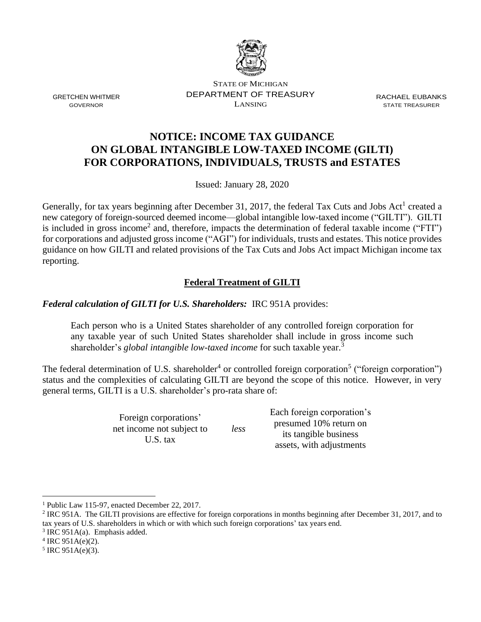

STATE OF MICHIGAN DEPARTMENT OF TREASURY LANSING

RACHAEL EUBANKS STATE TREASURER

# **NOTICE: INCOME TAX GUIDANCE ON GLOBAL INTANGIBLE LOW-TAXED INCOME (GILTI) FOR CORPORATIONS, INDIVIDUALS, TRUSTS and ESTATES**

Issued: January 28, 2020

Generally, for tax years beginning after December 31, 2017, the federal Tax Cuts and Jobs Act<sup>1</sup> created a new category of foreign-sourced deemed income—global intangible low-taxed income ("GILTI"). GILTI is included in gross income<sup>2</sup> and, therefore, impacts the determination of federal taxable income ("FTI") for corporations and adjusted gross income ("AGI") for individuals, trusts and estates. This notice provides guidance on how GILTI and related provisions of the Tax Cuts and Jobs Act impact Michigan income tax reporting.

## **Federal Treatment of GILTI**

*Federal calculation of GILTI for U.S. Shareholders:* IRC 951A provides:

Each person who is a United States shareholder of any controlled foreign corporation for any taxable year of such United States shareholder shall include in gross income such shareholder's *global intangible low-taxed income* for such taxable year.<sup>3</sup>

The federal determination of U.S. shareholder<sup>4</sup> or controlled foreign corporation<sup>5</sup> ("foreign corporation") status and the complexities of calculating GILTI are beyond the scope of this notice. However, in very general terms, GILTI is a U.S. shareholder's pro-rata share of:

*less*

Foreign corporations' net income not subject to U.S. tax

Each foreign corporation's presumed 10% return on its tangible business assets, with adjustments

GRETCHEN WHITMER GOVERNOR

<sup>1</sup> Public Law 115-97, enacted December 22, 2017.

 $2$  IRC 951A. The GILTI provisions are effective for foreign corporations in months beginning after December 31, 2017, and to tax years of U.S. shareholders in which or with which such foreign corporations' tax years end.

 $3$  IRC 951A(a). Emphasis added.

 $4$  IRC 951A(e)(2).

 $5$  IRC 951A(e)(3).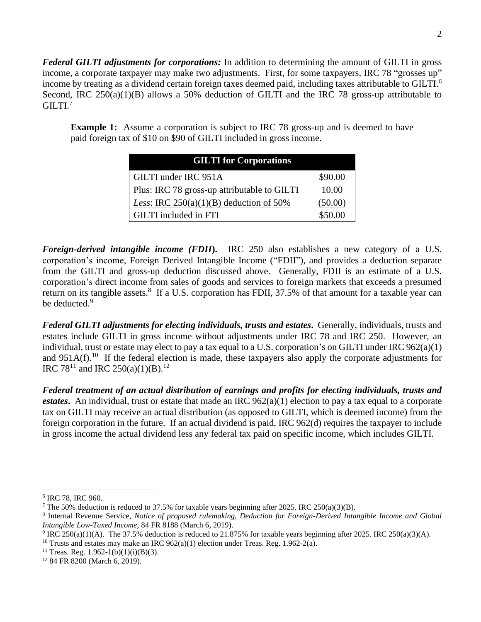*Federal GILTI adjustments for corporations:* In addition to determining the amount of GILTI in gross income, a corporate taxpayer may make two adjustments. First, for some taxpayers, IRC 78 "grosses up" income by treating as a dividend certain foreign taxes deemed paid, including taxes attributable to GILTI.<sup>6</sup> Second, IRC 250(a)(1)(B) allows a 50% deduction of GILTI and the IRC 78 gross-up attributable to GILTI. 7

**Example 1:** Assume a corporation is subject to IRC 78 gross-up and is deemed to have paid foreign tax of \$10 on \$90 of GILTI included in gross income.

| <b>GILTI</b> for Corporations                    |         |
|--------------------------------------------------|---------|
| GILTI under IRC 951A                             | \$90.00 |
| Plus: IRC 78 gross-up attributable to GILTI      | 10.00   |
| <i>Less:</i> IRC $250(a)(1)(B)$ deduction of 50% | (50.00) |
| <b>GILTI</b> included in FTI                     | \$50.00 |

*Foreign-derived intangible income (FDII***).** IRC 250 also establishes a new category of a U.S. corporation's income, Foreign Derived Intangible Income ("FDII"), and provides a deduction separate from the GILTI and gross-up deduction discussed above. Generally, FDII is an estimate of a U.S. corporation's direct income from sales of goods and services to foreign markets that exceeds a presumed return on its tangible assets.<sup>8</sup> If a U.S. corporation has FDII, 37.5% of that amount for a taxable year can be deducted.<sup>9</sup>

*Federal GILTI adjustments for electing individuals, trusts and estates***.** Generally, individuals, trusts and estates include GILTI in gross income without adjustments under IRC 78 and IRC 250. However, an individual, trust or estate may elect to pay a tax equal to a U.S. corporation's on GILTI under IRC 962(a)(1) and  $951A(f)$ .<sup>10</sup> If the federal election is made, these taxpayers also apply the corporate adjustments for IRC 78<sup>11</sup> and IRC 250(a)(1)(B).<sup>12</sup>

*Federal treatment of an actual distribution of earnings and profits for electing individuals, trusts and estates***.** An individual, trust or estate that made an IRC 962(a)(1) election to pay a tax equal to a corporate tax on GILTI may receive an actual distribution (as opposed to GILTI, which is deemed income) from the foreign corporation in the future. If an actual dividend is paid, IRC 962(d) requires the taxpayer to include in gross income the actual dividend less any federal tax paid on specific income, which includes GILTI.

<sup>10</sup> Trusts and estates may make an IRC  $962(a)(1)$  election under Treas. Reg. 1.962-2(a).

<sup>6</sup> IRC 78, IRC 960.

<sup>&</sup>lt;sup>7</sup> The 50% deduction is reduced to 37.5% for taxable years beginning after 2025. IRC 250(a)(3)(B).

<sup>8</sup> Internal Revenue Service, *Notice of proposed rulemaking, Deduction for Foreign-Derived Intangible Income and Global Intangible Low-Taxed Income,* 84 FR 8188 (March 6, 2019).

<sup>&</sup>lt;sup>9</sup> IRC 250(a)(1)(A). The 37.5% deduction is reduced to 21.875% for taxable years beginning after 2025. IRC 250(a)(3)(A).

<sup>&</sup>lt;sup>11</sup> Treas. Reg. 1.962-1(b)(1)(i)(B)(3).

<sup>12</sup> 84 FR 8200 (March 6, 2019).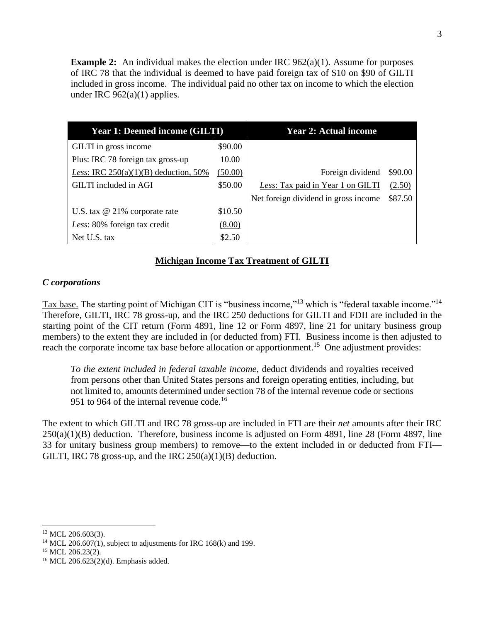**Example 2:** An individual makes the election under IRC  $962(a)(1)$ . Assume for purposes of IRC 78 that the individual is deemed to have paid foreign tax of \$10 on \$90 of GILTI included in gross income. The individual paid no other tax on income to which the election under IRC  $962(a)(1)$  applies.

| <b>Year 1: Deemed income (GILTI)</b>           |         | <b>Year 2: Actual income</b>         |         |
|------------------------------------------------|---------|--------------------------------------|---------|
| GILTI in gross income                          | \$90.00 |                                      |         |
| Plus: IRC 78 foreign tax gross-up              | 10.00   |                                      |         |
| <i>Less:</i> IRC $250(a)(1)(B)$ deduction, 50% | (50.00) | Foreign dividend                     | \$90.00 |
| GILTI included in AGI                          | \$50.00 | Less: Tax paid in Year 1 on GILTI    | (2.50)  |
|                                                |         | Net foreign dividend in gross income | \$87.50 |
| U.S. tax $@$ 21% corporate rate                | \$10.50 |                                      |         |
| Less: 80% foreign tax credit                   | (8.00)  |                                      |         |
| Net U.S. tax                                   | \$2.50  |                                      |         |

### **Michigan Income Tax Treatment of GILTI**

#### *C corporations*

Tax base. The starting point of Michigan CIT is "business income,"<sup>13</sup> which is "federal taxable income."<sup>14</sup> Therefore, GILTI, IRC 78 gross-up, and the IRC 250 deductions for GILTI and FDII are included in the starting point of the CIT return (Form 4891, line 12 or Form 4897, line 21 for unitary business group members) to the extent they are included in (or deducted from) FTI. Business income is then adjusted to reach the corporate income tax base before allocation or apportionment.<sup>15</sup> One adjustment provides:

*To the extent included in federal taxable income*, deduct dividends and royalties received from persons other than United States persons and foreign operating entities, including, but not limited to, amounts determined under section 78 of the internal revenue code or sections 951 to 964 of the internal revenue code.<sup>16</sup>

The extent to which GILTI and IRC 78 gross-up are included in FTI are their *net* amounts after their IRC  $250(a)(1)(B)$  deduction. Therefore, business income is adjusted on Form 4891, line 28 (Form 4897, line 33 for unitary business group members) to remove—to the extent included in or deducted from FTI— GILTI, IRC 78 gross-up, and the IRC  $250(a)(1)(B)$  deduction.

 $13$  MCL 206.603(3).

<sup>&</sup>lt;sup>14</sup> MCL 206.607(1), subject to adjustments for IRC 168(k) and 199.

<sup>&</sup>lt;sup>15</sup> MCL 206.23(2).

<sup>16</sup> MCL 206.623(2)(d). Emphasis added.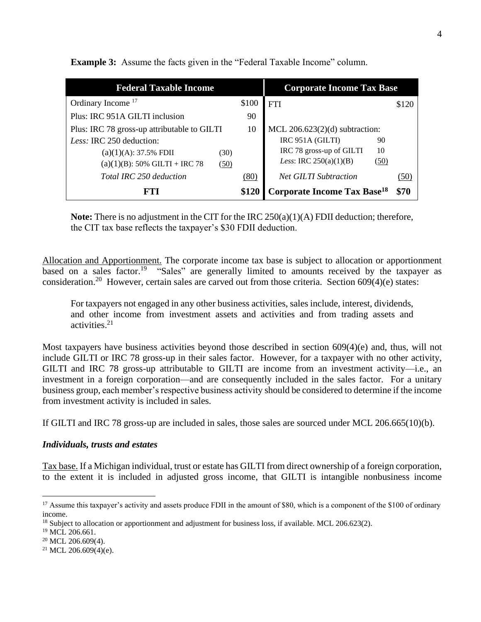| <b>Federal Taxable Income</b>               | <b>Corporate Income Tax Base</b> |                                               |       |
|---------------------------------------------|----------------------------------|-----------------------------------------------|-------|
| Ordinary Income <sup>17</sup>               | \$100                            | <b>FTI</b>                                    | \$120 |
| Plus: IRC 951A GILTI inclusion              | 90                               |                                               |       |
| Plus: IRC 78 gross-up attributable to GILTI | 10                               | MCL $206.623(2)(d)$ subtraction:              |       |
| Less: IRC 250 deduction:                    |                                  | IRC 951A (GILTI)<br>90                        |       |
| $(a)(1)(A): 37.5\%$ FDII<br>(30)            |                                  | IRC 78 gross-up of GILTI<br>10                |       |
| $(a)(1)(B)$ : 50% GILTI + IRC 78<br>(50)    |                                  | <i>Less:</i> IRC $250(a)(1)(B)$<br>(50)       |       |
| Total IRC 250 deduction                     | (80)                             | <b>Net GILTI Subtraction</b>                  | (50)  |
| FT I                                        | \$120                            | <b>Corporate Income Tax Base<sup>18</sup></b> | \$70  |

**Example 3:** Assume the facts given in the "Federal Taxable Income" column.

**Note:** There is no adjustment in the CIT for the IRC 250(a)(1)(A) FDII deduction; therefore, the CIT tax base reflects the taxpayer's \$30 FDII deduction.

Allocation and Apportionment. The corporate income tax base is subject to allocation or apportionment based on a sales factor.<sup>19</sup> "Sales" are generally limited to amounts received by the taxpayer as consideration.<sup>20</sup> However, certain sales are carved out from those criteria. Section  $609(4)(e)$  states:

For taxpayers not engaged in any other business activities, sales include, interest, dividends, and other income from investment assets and activities and from trading assets and activities.<sup>21</sup>

Most taxpayers have business activities beyond those described in section 609(4)(e) and, thus, will not include GILTI or IRC 78 gross-up in their sales factor. However, for a taxpayer with no other activity, GILTI and IRC 78 gross-up attributable to GILTI are income from an investment activity—i.e., an investment in a foreign corporation—and are consequently included in the sales factor. For a unitary business group, each member's respective business activity should be considered to determine if the income from investment activity is included in sales.

If GILTI and IRC 78 gross-up are included in sales, those sales are sourced under MCL 206.665(10)(b).

### *Individuals, trusts and estates*

Tax base. If a Michigan individual, trust or estate has GILTI from direct ownership of a foreign corporation, to the extent it is included in adjusted gross income, that GILTI is intangible nonbusiness income

<sup>&</sup>lt;sup>17</sup> Assume this taxpayer's activity and assets produce FDII in the amount of \$80, which is a component of the \$100 of ordinary income.

<sup>&</sup>lt;sup>18</sup> Subject to allocation or apportionment and adjustment for business loss, if available. MCL 206.623(2).

<sup>&</sup>lt;sup>19</sup> MCL 206.661.

<sup>&</sup>lt;sup>20</sup> MCL 206.609(4).

<sup>&</sup>lt;sup>21</sup> MCL 206.609(4)(e).